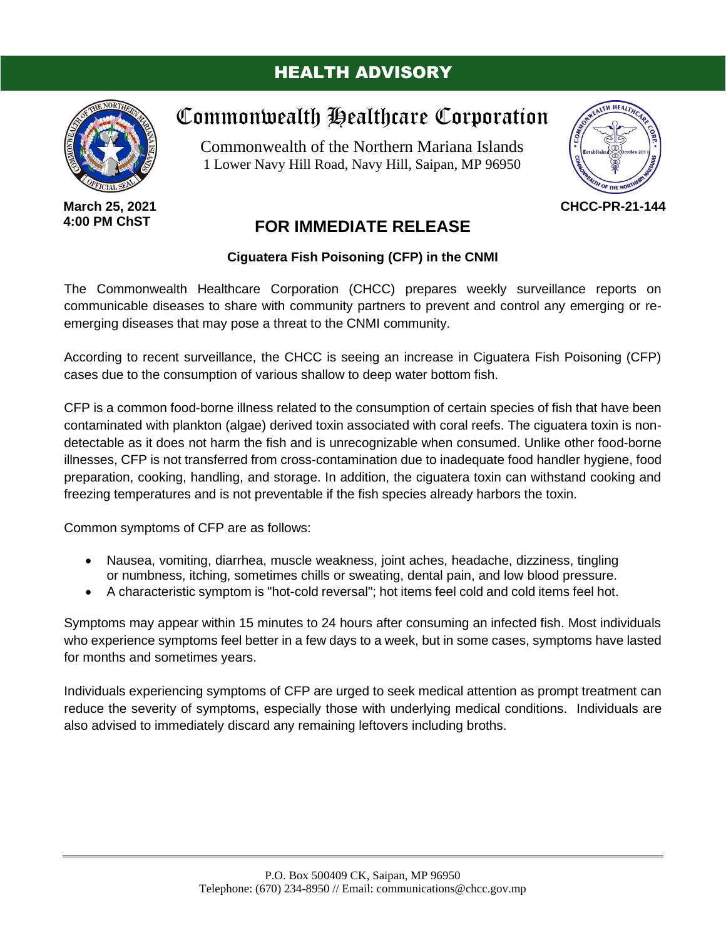## HEALTH ADVISORY



**March 25, 2021 4:00 PM ChST**

# Commonwealth Healthcare Corporation

Commonwealth of the Northern Mariana Islands 1 Lower Navy Hill Road, Navy Hill, Saipan, MP 96950



**CHCC-PR-21-144**

## **FOR IMMEDIATE RELEASE**

### **Ciguatera Fish Poisoning (CFP) in the CNMI**

The Commonwealth Healthcare Corporation (CHCC) prepares weekly surveillance reports on communicable diseases to share with community partners to prevent and control any emerging or reemerging diseases that may pose a threat to the CNMI community.

According to recent surveillance, the CHCC is seeing an increase in Ciguatera Fish Poisoning (CFP) cases due to the consumption of various shallow to deep water bottom fish.

CFP is a common food-borne illness related to the consumption of certain species of fish that have been contaminated with plankton (algae) derived toxin associated with coral reefs. The ciguatera toxin is nondetectable as it does not harm the fish and is unrecognizable when consumed. Unlike other food-borne illnesses, CFP is not transferred from cross-contamination due to inadequate food handler hygiene, food preparation, cooking, handling, and storage. In addition, the ciguatera toxin can withstand cooking and freezing temperatures and is not preventable if the fish species already harbors the toxin.

Common symptoms of CFP are as follows:

- Nausea, vomiting, diarrhea, muscle weakness, joint aches, headache, dizziness, tingling or numbness, itching, sometimes chills or sweating, dental pain, and low blood pressure.
- A characteristic symptom is "hot-cold reversal"; hot items feel cold and cold items feel hot.

Symptoms may appear within 15 minutes to 24 hours after consuming an infected fish. Most individuals who experience symptoms feel better in a few days to a week, but in some cases, symptoms have lasted for months and sometimes years.

Individuals experiencing symptoms of CFP are urged to seek medical attention as prompt treatment can reduce the severity of symptoms, especially those with underlying medical conditions. Individuals are also advised to immediately discard any remaining leftovers including broths.